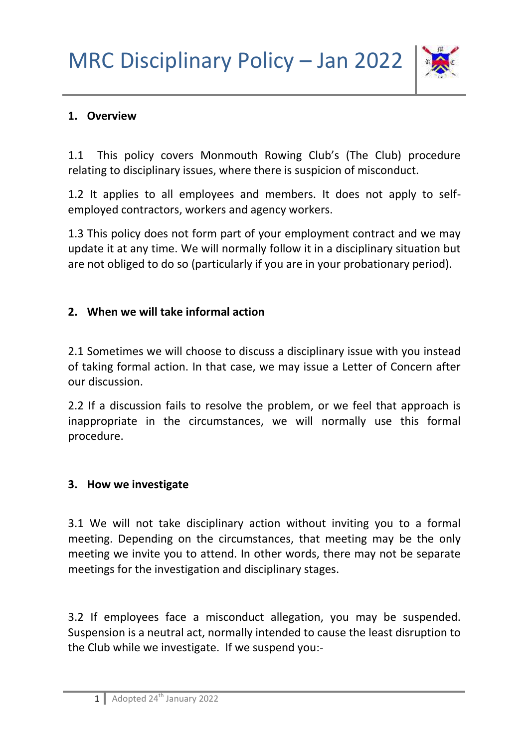

#### **1. Overview**

1.1 This policy covers Monmouth Rowing Club's (The Club) procedure relating to disciplinary issues, where there is suspicion of misconduct.

1.2 It applies to all employees and members. It does not apply to selfemployed contractors, workers and agency workers.

1.3 This policy does not form part of your employment contract and we may update it at any time. We will normally follow it in a disciplinary situation but are not obliged to do so (particularly if you are in your probationary period).

#### **2. When we will take informal action**

2.1 Sometimes we will choose to discuss a disciplinary issue with you instead of taking formal action. In that case, we may issue a Letter of Concern after our discussion.

2.2 If a discussion fails to resolve the problem, or we feel that approach is inappropriate in the circumstances, we will normally use this formal procedure.

#### **3. How we investigate**

3.1 We will not take disciplinary action without inviting you to a formal meeting. Depending on the circumstances, that meeting may be the only meeting we invite you to attend. In other words, there may not be separate meetings for the investigation and disciplinary stages.

3.2 If employees face a misconduct allegation, you may be suspended. Suspension is a neutral act, normally intended to cause the least disruption to the Club while we investigate. If we suspend you:-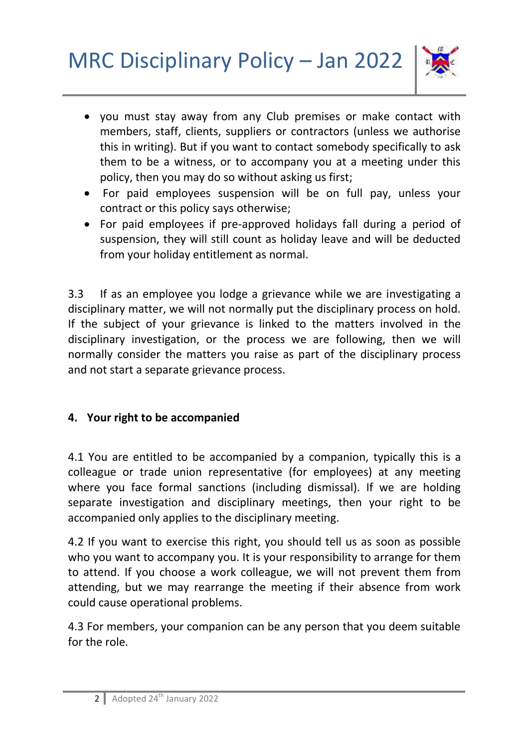

- you must stay away from any Club premises or make contact with members, staff, clients, suppliers or contractors (unless we authorise this in writing). But if you want to contact somebody specifically to ask them to be a witness, or to accompany you at a meeting under this policy, then you may do so without asking us first;
- For paid employees suspension will be on full pay, unless your contract or this policy says otherwise;
- For paid employees if pre-approved holidays fall during a period of suspension, they will still count as holiday leave and will be deducted from your holiday entitlement as normal.

3.3 If as an employee you lodge a grievance while we are investigating a disciplinary matter, we will not normally put the disciplinary process on hold. If the subject of your grievance is linked to the matters involved in the disciplinary investigation, or the process we are following, then we will normally consider the matters you raise as part of the disciplinary process and not start a separate grievance process.

#### **4. Your right to be accompanied**

4.1 You are entitled to be accompanied by a companion, typically this is a colleague or trade union representative (for employees) at any meeting where you face formal sanctions (including dismissal). If we are holding separate investigation and disciplinary meetings, then your right to be accompanied only applies to the disciplinary meeting.

4.2 If you want to exercise this right, you should tell us as soon as possible who you want to accompany you. It is your responsibility to arrange for them to attend. If you choose a work colleague, we will not prevent them from attending, but we may rearrange the meeting if their absence from work could cause operational problems.

4.3 For members, your companion can be any person that you deem suitable for the role.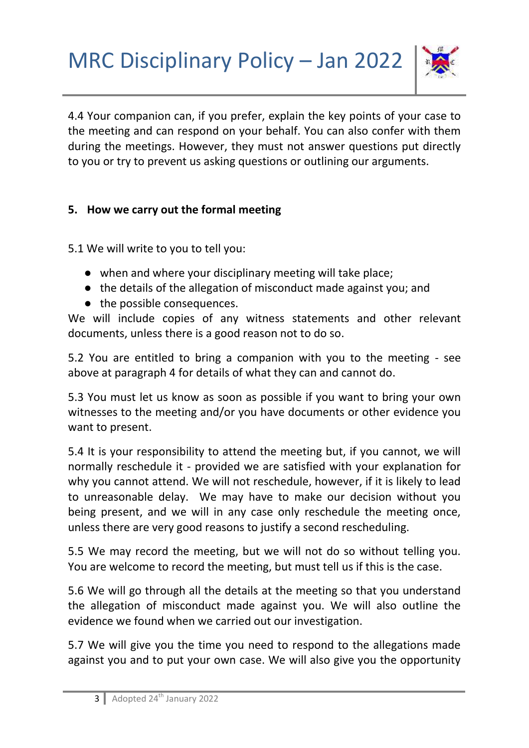

4.4 Your companion can, if you prefer, explain the key points of your case to the meeting and can respond on your behalf. You can also confer with them during the meetings. However, they must not answer questions put directly to you or try to prevent us asking questions or outlining our arguments.

### **5. How we carry out the formal meeting**

5.1 We will write to you to tell you:

- when and where your disciplinary meeting will take place;
- the details of the allegation of misconduct made against you; and
- the possible consequences.

We will include copies of any witness statements and other relevant documents, unless there is a good reason not to do so.

5.2 You are entitled to bring a companion with you to the meeting - see above at paragraph 4 for details of what they can and cannot do.

5.3 You must let us know as soon as possible if you want to bring your own witnesses to the meeting and/or you have documents or other evidence you want to present.

5.4 It is your responsibility to attend the meeting but, if you cannot, we will normally reschedule it - provided we are satisfied with your explanation for why you cannot attend. We will not reschedule, however, if it is likely to lead to unreasonable delay. We may have to make our decision without you being present, and we will in any case only reschedule the meeting once, unless there are very good reasons to justify a second rescheduling.

5.5 We may record the meeting, but we will not do so without telling you. You are welcome to record the meeting, but must tell us if this is the case.

5.6 We will go through all the details at the meeting so that you understand the allegation of misconduct made against you. We will also outline the evidence we found when we carried out our investigation.

5.7 We will give you the time you need to respond to the allegations made against you and to put your own case. We will also give you the opportunity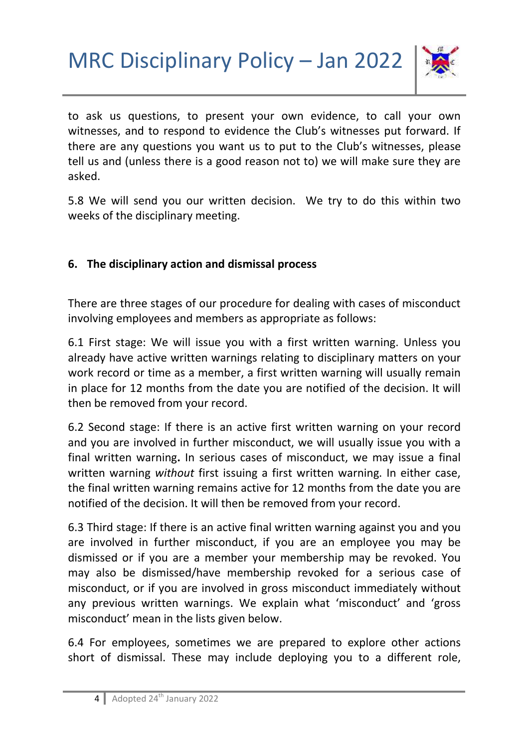

to ask us questions, to present your own evidence, to call your own witnesses, and to respond to evidence the Club's witnesses put forward. If there are any questions you want us to put to the Club's witnesses, please tell us and (unless there is a good reason not to) we will make sure they are asked.

5.8 We will send you our written decision. We try to do this within two weeks of the disciplinary meeting.

#### **6. The disciplinary action and dismissal process**

There are three stages of our procedure for dealing with cases of misconduct involving employees and members as appropriate as follows:

6.1 First stage: We will issue you with a first written warning. Unless you already have active written warnings relating to disciplinary matters on your work record or time as a member, a first written warning will usually remain in place for 12 months from the date you are notified of the decision. It will then be removed from your record.

6.2 Second stage: If there is an active first written warning on your record and you are involved in further misconduct, we will usually issue you with a final written warning**.** In serious cases of misconduct, we may issue a final written warning *without* first issuing a first written warning. In either case, the final written warning remains active for 12 months from the date you are notified of the decision. It will then be removed from your record.

6.3 Third stage: If there is an active final written warning against you and you are involved in further misconduct, if you are an employee you may be dismissed or if you are a member your membership may be revoked. You may also be dismissed/have membership revoked for a serious case of misconduct, or if you are involved in gross misconduct immediately without any previous written warnings. We explain what 'misconduct' and 'gross misconduct' mean in the lists given below.

6.4 For employees, sometimes we are prepared to explore other actions short of dismissal. These may include deploying you to a different role,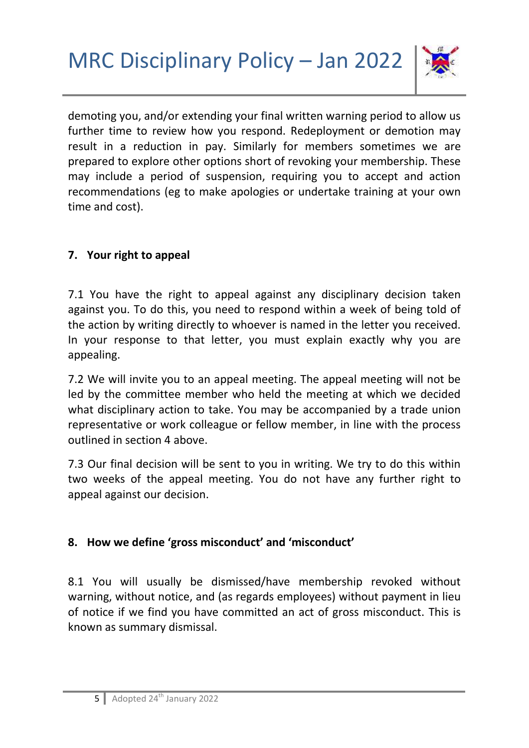

demoting you, and/or extending your final written warning period to allow us further time to review how you respond. Redeployment or demotion may result in a reduction in pay. Similarly for members sometimes we are prepared to explore other options short of revoking your membership. These may include a period of suspension, requiring you to accept and action recommendations (eg to make apologies or undertake training at your own time and cost).

### **7. Your right to appeal**

7.1 You have the right to appeal against any disciplinary decision taken against you. To do this, you need to respond within a week of being told of the action by writing directly to whoever is named in the letter you received. In your response to that letter, you must explain exactly why you are appealing.

7.2 We will invite you to an appeal meeting. The appeal meeting will not be led by the committee member who held the meeting at which we decided what disciplinary action to take. You may be accompanied by a trade union representative or work colleague or fellow member, in line with the process outlined in section 4 above.

7.3 Our final decision will be sent to you in writing. We try to do this within two weeks of the appeal meeting. You do not have any further right to appeal against our decision.

#### **8. How we define 'gross misconduct' and 'misconduct'**

8.1 You will usually be dismissed/have membership revoked without warning, without notice, and (as regards employees) without payment in lieu of notice if we find you have committed an act of gross misconduct. This is known as summary dismissal.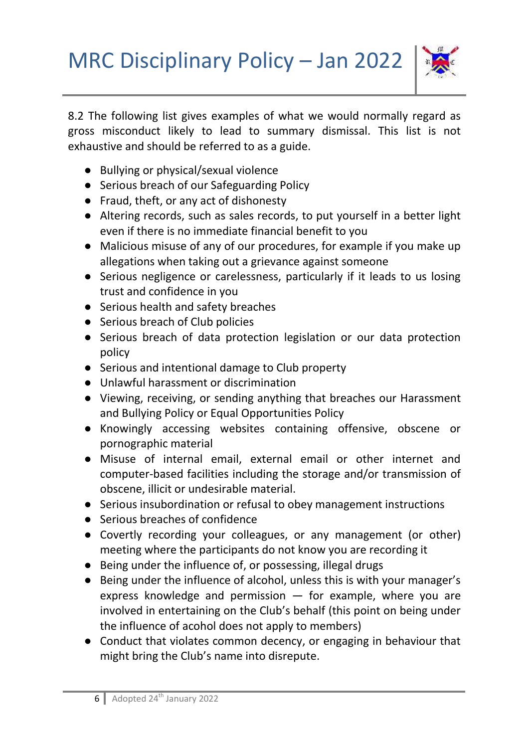

8.2 The following list gives examples of what we would normally regard as gross misconduct likely to lead to summary dismissal. This list is not exhaustive and should be referred to as a guide.

- Bullying or physical/sexual violence
- Serious breach of our Safeguarding Policy
- Fraud, theft, or any act of dishonesty
- Altering records, such as sales records, to put yourself in a better light even if there is no immediate financial benefit to you
- Malicious misuse of any of our procedures, for example if you make up allegations when taking out a grievance against someone
- Serious negligence or carelessness, particularly if it leads to us losing trust and confidence in you
- Serious health and safety breaches
- Serious breach of Club policies
- Serious breach of data protection legislation or our data protection policy
- Serious and intentional damage to Club property
- Unlawful harassment or discrimination
- Viewing, receiving, or sending anything that breaches our Harassment and Bullying Policy or Equal Opportunities Policy
- Knowingly accessing websites containing offensive, obscene or pornographic material
- Misuse of internal email, external email or other internet and computer-based facilities including the storage and/or transmission of obscene, illicit or undesirable material.
- Serious insubordination or refusal to obey management instructions
- Serious breaches of confidence
- Covertly recording your colleagues, or any management (or other) meeting where the participants do not know you are recording it
- Being under the influence of, or possessing, illegal drugs
- Being under the influence of alcohol, unless this is with your manager's express knowledge and permission — for example, where you are involved in entertaining on the Club's behalf (this point on being under the influence of acohol does not apply to members)
- Conduct that violates common decency, or engaging in behaviour that might bring the Club's name into disrepute.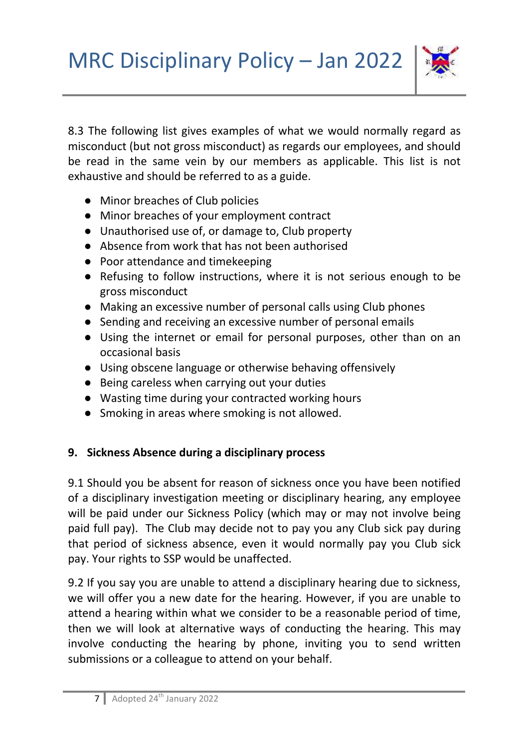

8.3 The following list gives examples of what we would normally regard as misconduct (but not gross misconduct) as regards our employees, and should be read in the same vein by our members as applicable. This list is not exhaustive and should be referred to as a guide.

- Minor breaches of Club policies
- Minor breaches of your employment contract
- Unauthorised use of, or damage to, Club property
- Absence from work that has not been authorised
- Poor attendance and timekeeping
- Refusing to follow instructions, where it is not serious enough to be gross misconduct
- Making an excessive number of personal calls using Club phones
- Sending and receiving an excessive number of personal emails
- Using the internet or email for personal purposes, other than on an occasional basis
- Using obscene language or otherwise behaving offensively
- Being careless when carrying out your duties
- Wasting time during your contracted working hours
- Smoking in areas where smoking is not allowed.

### **9. Sickness Absence during a disciplinary process**

9.1 Should you be absent for reason of sickness once you have been notified of a disciplinary investigation meeting or disciplinary hearing, any employee will be paid under our Sickness Policy (which may or may not involve being paid full pay). The Club may decide not to pay you any Club sick pay during that period of sickness absence, even it would normally pay you Club sick pay. Your rights to SSP would be unaffected.

9.2 If you say you are unable to attend a disciplinary hearing due to sickness, we will offer you a new date for the hearing. However, if you are unable to attend a hearing within what we consider to be a reasonable period of time, then we will look at alternative ways of conducting the hearing. This may involve conducting the hearing by phone, inviting you to send written submissions or a colleague to attend on your behalf.